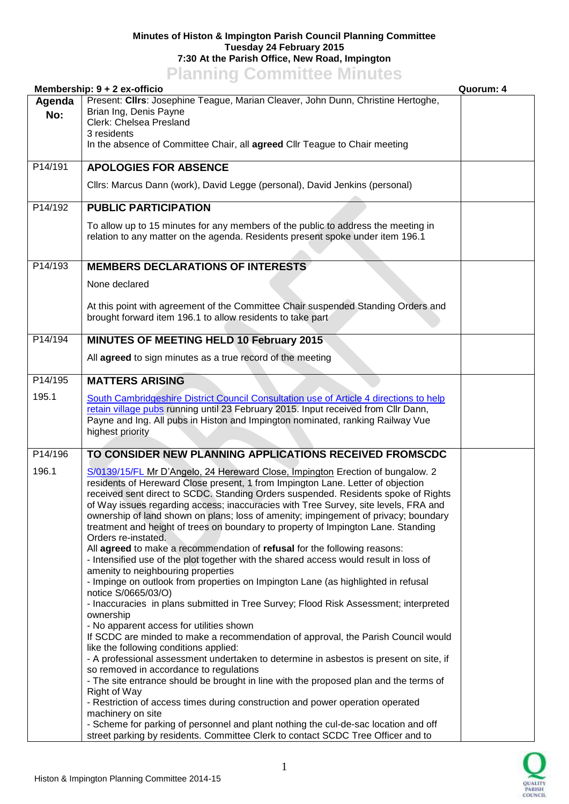## **Minutes of Histon & Impington Parish Council Planning Committee Tuesday 24 February 2015 7:30 At the Parish Office, New Road, Impington Planning Committee Minutes**

|         | <b>FRITTING COMMITTEE</b> MITTULES<br>Membership: 9 + 2 ex-officio                                                               | Quorum: 4 |
|---------|----------------------------------------------------------------------------------------------------------------------------------|-----------|
| Agenda  | Present: Clirs: Josephine Teague, Marian Cleaver, John Dunn, Christine Hertoghe,                                                 |           |
| No:     | Brian Ing, Denis Payne                                                                                                           |           |
|         | Clerk: Chelsea Presland                                                                                                          |           |
|         | 3 residents                                                                                                                      |           |
|         | In the absence of Committee Chair, all agreed Cllr Teague to Chair meeting                                                       |           |
| P14/191 | <b>APOLOGIES FOR ABSENCE</b>                                                                                                     |           |
|         |                                                                                                                                  |           |
|         | Cllrs: Marcus Dann (work), David Legge (personal), David Jenkins (personal)                                                      |           |
| P14/192 | <b>PUBLIC PARTICIPATION</b>                                                                                                      |           |
|         |                                                                                                                                  |           |
|         | To allow up to 15 minutes for any members of the public to address the meeting in                                                |           |
|         | relation to any matter on the agenda. Residents present spoke under item 196.1                                                   |           |
|         |                                                                                                                                  |           |
| P14/193 | <b>MEMBERS DECLARATIONS OF INTERESTS</b>                                                                                         |           |
|         | None declared                                                                                                                    |           |
|         |                                                                                                                                  |           |
|         | At this point with agreement of the Committee Chair suspended Standing Orders and                                                |           |
|         | brought forward item 196.1 to allow residents to take part                                                                       |           |
|         |                                                                                                                                  |           |
| P14/194 | <b>MINUTES OF MEETING HELD 10 February 2015</b>                                                                                  |           |
|         | All agreed to sign minutes as a true record of the meeting                                                                       |           |
| P14/195 | <b>MATTERS ARISING</b>                                                                                                           |           |
|         |                                                                                                                                  |           |
| 195.1   | South Cambridgeshire District Council Consultation use of Article 4 directions to help                                           |           |
|         | retain village pubs running until 23 February 2015. Input received from Cllr Dann,                                               |           |
|         | Payne and Ing. All pubs in Histon and Impington nominated, ranking Railway Vue<br>highest priority                               |           |
|         |                                                                                                                                  |           |
| P14/196 | TO CONSIDER NEW PLANNING APPLICATIONS RECEIVED FROMSCDC                                                                          |           |
| 196.1   | S/0139/15/FL Mr D'Angelo, 24 Hereward Close, Impington Erection of bungalow. 2                                                   |           |
|         | residents of Hereward Close present, 1 from Impington Lane. Letter of objection                                                  |           |
|         | received sent direct to SCDC. Standing Orders suspended. Residents spoke of Rights                                               |           |
|         | of Way issues regarding access; inaccuracies with Tree Survey, site levels, FRA and                                              |           |
|         | ownership of land shown on plans; loss of amenity; impingement of privacy; boundary                                              |           |
|         | treatment and height of trees on boundary to property of Impington Lane. Standing                                                |           |
|         | Orders re-instated.                                                                                                              |           |
|         | All agreed to make a recommendation of refusal for the following reasons:                                                        |           |
|         | - Intensified use of the plot together with the shared access would result in loss of<br>amenity to neighbouring properties      |           |
|         | - Impinge on outlook from properties on Impington Lane (as highlighted in refusal                                                |           |
|         | notice S/0665/03/O)                                                                                                              |           |
|         | - Inaccuracies in plans submitted in Tree Survey; Flood Risk Assessment; interpreted                                             |           |
|         | ownership                                                                                                                        |           |
|         | - No apparent access for utilities shown                                                                                         |           |
|         | If SCDC are minded to make a recommendation of approval, the Parish Council would                                                |           |
|         | like the following conditions applied:<br>- A professional assessment undertaken to determine in asbestos is present on site, if |           |
|         | so removed in accordance to regulations                                                                                          |           |
|         | - The site entrance should be brought in line with the proposed plan and the terms of                                            |           |
|         | Right of Way                                                                                                                     |           |
|         | - Restriction of access times during construction and power operation operated                                                   |           |
|         | machinery on site                                                                                                                |           |
|         | - Scheme for parking of personnel and plant nothing the cul-de-sac location and off                                              |           |
|         | street parking by residents. Committee Clerk to contact SCDC Tree Officer and to                                                 |           |